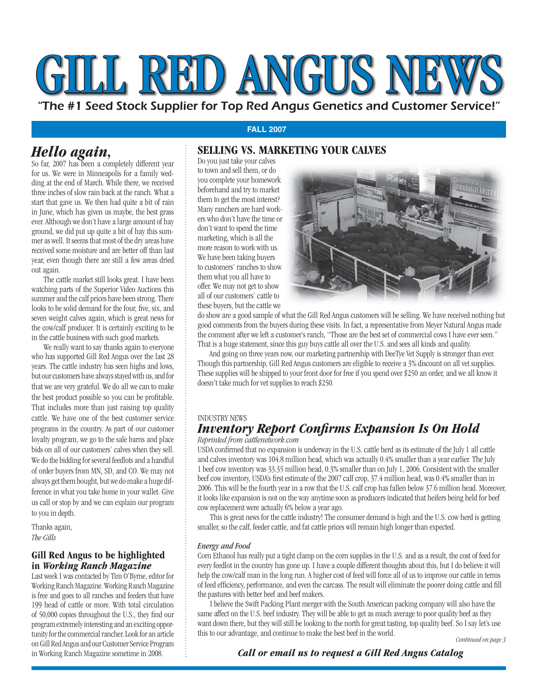# GILL RED ANGUS NE

"The #1 Seed Stock Supplier for Top Red Angus Genetics and Customer Service!"

## **FALL 2007**

# **SELLING VS. MARKETING YOUR CALVES**

*Hello again,* So far, 2007 has been a completely different year for us. We were in Minneapolis for a family wedding at the end of March. While there, we received three inches of slow rain back at the ranch. What a start that gave us. We then had quite a bit of rain in June, which has given us maybe, the best grass ever. Although we don't have a large amount of hay ground, we did put up quite a bit of hay this summer as well. It seems that most of the dry areas have received some moisture and are better off than last year, even though there are still a few areas dried out again.

 The cattle market still looks great. I have been watching parts of the Superior Video Auctions this summer and the calf prices have been strong. There looks to be solid demand for the four, five, six, and seven weight calves again, which is great news for the cow/calf producer. It is certainly exciting to be in the cattle business with such good markets.

 We really want to say thanks again to everyone who has supported Gill Red Angus over the last 28 years. The cattle industry has seen highs and lows, but our customers have always stayed with us, and for that we are very grateful. We do all we can to make the best product possible so you can be profitable. That includes more than just raising top quality cattle. We have one of the best customer service programs in the country. As part of our customer loyalty program, we go to the sale barns and place bids on all of our customers' calves when they sell. We do the bidding for several feedlots and a handful of order buyers from MN, SD, and CO. We may not always get them bought, but we do make a huge difference in what you take home in your wallet. Give us call or stop by and we can explain our program to you in depth.

Thanks again, *The Gills*

# **Gill Red Angus to be highlighted in** *Working Ranch Magazine*

Last week I was contacted by Tim O'Byrne, editor for Working Ranch Magazine. Working Ranch Magazine is free and goes to all ranches and feeders that have 199 head of cattle or more. With total circulation of 50,000 copies throughout the U.S., they find our program extremely interesting and an exciting opportunity for the commercial rancher. Look for an article on Gill Red Angus and our Customer Service Program in Working Ranch Magazine sometime in 2008.

Do you just take your calves to town and sell them, or do you complete your homework beforehand and try to market them to get the most interest? Many ranchers are hard workers who don't have the time or don't want to spend the time marketing, which is all the more reason to work with us. We have been taking buyers to customers' ranches to show them what you all have to offer. We may not get to show all of our customers' cattle to these buyers, but the cattle we



do show are a good sample of what the Gill Red Angus customers will be selling. We have received nothing but good comments from the buyers during these visits. In fact, a representative from Meyer Natural Angus made the comment after we left a customer's ranch, "Those are the best set of commercial cows I have ever seen." That is a huge statement, since this guy buys cattle all over the U.S. and sees all kinds and quality.

 And going on three years now, our marketing partnership with DeeTye Vet Supply is stronger than ever. Though this partnership, Gill Red Angus customers are eligible to receive a 3% discount on all vet supplies. These supplies will be shipped to your front door for free if you spend over \$250 an order, and we all know it doesn't take much for vet supplies to reach \$250.

#### INDUSTRY NEWS

## *Inventory Report Confirms Expansion Is On Hold Reprinted from cattlenetwork.com*

USDA confirmed that no expansion is underway in the U.S. cattle herd as its estimate of the July 1 all cattle and calves inventory was 104.8 million head, which was actually 0.4% smaller than a year earlier. The July 1 beef cow inventory was 33.35 million head, 0.3% smaller than on July 1, 2006. Consistent with the smaller beef cow inventory, USDA's first estimate of the 2007 calf crop, 37.4 million head, was 0.4% smaller than in 2006. This will be the fourth year in a row that the U.S. calf crop has fallen below 37.6 million head. Moreover, it looks like expansion is not on the way anytime soon as producers indicated that heifers being held for beef cow replacement were actually 6% below a year ago.

 This is great news for the cattle industry! The consumer demand is high and the U.S. cow herd is getting smaller, so the calf, feeder cattle, and fat cattle prices will remain high longer than expected.

#### *Energy and Food*

Corn Ethanol has really put a tight clamp on the corn supplies in the U.S. and as a result, the cost of feed for every feedlot in the country has gone up. I have a couple different thoughts about this, but I do believe it will help the cow/calf man in the long run. A higher cost of feed will force all of us to improve our cattle in terms of feed efficiency, performance, and even the carcass. The result will eliminate the poorer doing cattle and fill the pastures with better beef and beef makers.

 I believe the Swift Packing Plant merger with the South American packing company will also have the same affect on the U.S. beef industry. They will be able to get as much average to poor quality beef as they want down there, but they will still be looking to the north for great tasting, top quality beef. So I say let's use this to our advantage, and continue to make the best beef in the world. *Continued on page 3*

*Call or email us to request a Gill Red Angus Catalog*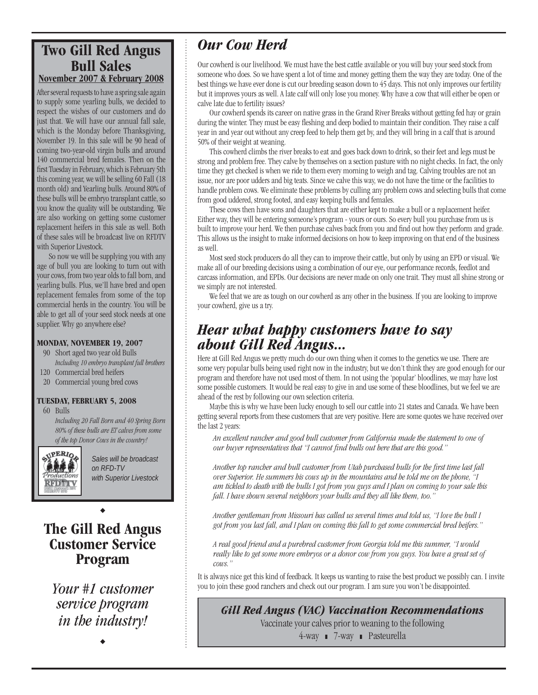# **Two Gill Red Angus Bull Sales November 2007 & February 2008**

After several requests to have a spring sale again to supply some yearling bulls, we decided to respect the wishes of our customers and do just that. We will have our annual fall sale, which is the Monday before Thanksgiving, November 19. In this sale will be 90 head of coming two-year-old virgin bulls and around 140 commercial bred females. Then on the first Tuesday in February, which is February 5th this coming year, we will be selling 60 Fall (18 month old) and Yearling bulls. Around 80% of these bulls will be embryo transplant cattle, so you know the quality will be outstanding. We are also working on getting some customer replacement heifers in this sale as well. Both of these sales will be broadcast live on RFDTV with Superior Livestock.

 So now we will be supplying you with any age of bull you are looking to turn out with your cows, from two year olds to fall born, and yearling bulls. Plus, we'll have bred and open replacement females from some of the top commercial herds in the country. You will be able to get all of your seed stock needs at one supplier. Why go anywhere else?

#### **MONDAY, NOVEMBER 19, 2007**

- 90 Short aged two year old Bulls *Including 10 embryo transplant full brothers*
- 120 Commercial bred heifers
- 20 Commercial young bred cows

#### **TUESDAY, FEBRUARY 5, 2008**

60 Bulls

*Including 20 Fall Born and 40 Spring Born 80% of these bulls are ET calves from some of the top Donor Cows in the country!*



*Sales will be broadcast on RFD-TV with Superior Livestock*

# **The Gill Red Angus Customer Service Program**

 $\ddot{\bullet}$ 

*Your #1 customer service program in the industry!*

 $\blacklozenge$ 

# *Our Cow Herd*

Our cowherd is our livelihood. We must have the best cattle available or you will buy your seed stock from someone who does. So we have spent a lot of time and money getting them the way they are today. One of the best things we have ever done is cut our breeding season down to 45 days. This not only improves our fertility but it improves yours as well. A late calf will only lose you money. Why have a cow that will either be open or calve late due to fertility issues?

 Our cowherd spends its career on native grass in the Grand River Breaks without getting fed hay or grain during the winter. They must be easy fleshing and deep bodied to maintain their condition. They raise a calf year in and year out without any creep feed to help them get by, and they will bring in a calf that is around 50% of their weight at weaning.

 This cowherd climbs the river breaks to eat and goes back down to drink, so their feet and legs must be strong and problem free. They calve by themselves on a section pasture with no night checks. In fact, the only time they get checked is when we ride to them every morning to weigh and tag. Calving troubles are not an issue, nor are poor udders and big teats. Since we calve this way, we do not have the time or the facilities to handle problem cows. We eliminate these problems by culling any problem cows and selecting bulls that come from good uddered, strong footed, and easy keeping bulls and females.

 These cows then have sons and daughters that are either kept to make a bull or a replacement heifer. Either way, they will be entering someone's program - yours or ours. So every bull you purchase from us is built to improve your herd. We then purchase calves back from you and find out how they perform and grade. This allows us the insight to make informed decisions on how to keep improving on that end of the business as well.

 Most seed stock producers do all they can to improve their cattle, but only by using an EPD or visual. We make all of our breeding decisions using a combination of our eye, our performance records, feedlot and carcass information, and EPDs. Our decisions are never made on only one trait. They must all shine strong or we simply are not interested.

 We feel that we are as tough on our cowherd as any other in the business. If you are looking to improve your cowherd, give us a try.

# *Hear what happy customers have to say about Gill Red Angus...*

Here at Gill Red Angus we pretty much do our own thing when it comes to the genetics we use. There are some very popular bulls being used right now in the industry, but we don't think they are good enough for our program and therefore have not used most of them. In not using the 'popular' bloodlines, we may have lost some possible customers. It would be real easy to give in and use some of these bloodlines, but we feel we are ahead of the rest by following our own selection criteria.

 Maybe this is why we have been lucky enough to sell our cattle into 21 states and Canada. We have been getting several reports from these customers that are very positive. Here are some quotes we have received over the last 2 years:

*An excellent rancher and good bull customer from California made the statement to one of*  our buyer representatives that "I cannot find bulls out here that are this good."

Another top rancher and bull customer from Utah purchased bulls for the first time last fall *over Superior. He summers his cows up in the mountains and he told me on the phone, "I am tickled to death with the bulls I got from you guys and I plan on coming to your sale this fall. I have shown several neighbors your bulls and they all like them, too."* 

*Another gentleman from Missouri has called us several times and told us, "I love the bull I got from you last fall, and I plan on coming this fall to get some commercial bred heifers."* 

*A real good friend and a purebred customer from Georgia told me this summer, "I would really like to get some more embryos or a donor cow from you guys. You have a great set of cows."* 

It is always nice get this kind of feedback. It keeps us wanting to raise the best product we possibly can. I invite you to join these good ranchers and check out our program. I am sure you won't be disappointed.

# *Gill Red Angus (VAC) Vaccination Recommendations*

Vaccinate your calves prior to weaning to the following

4-way 7-way Pasteurella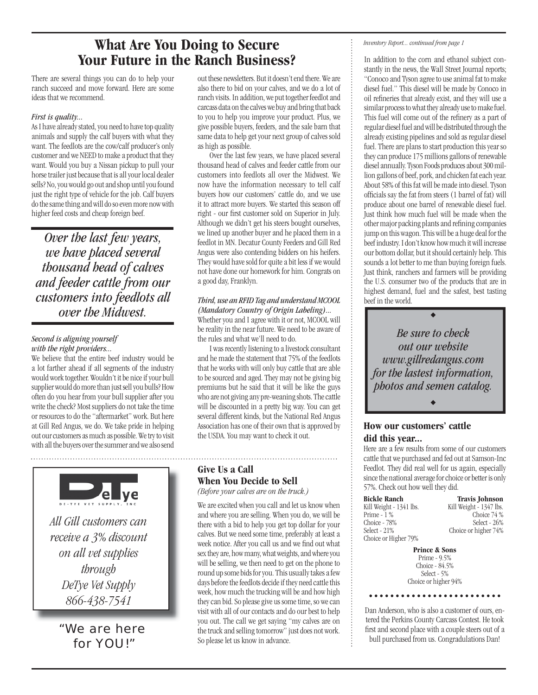# **What Are You Doing to Secure Your Future in the Ranch Business?**

There are several things you can do to help your ranch succeed and move forward. Here are some ideas that we recommend.

#### *First is quality...*

As I have already stated, you need to have top quality animals and supply the calf buyers with what they want. The feedlots are the cow/calf producer's only customer and we NEED to make a product that they want. Would you buy a Nissan pickup to pull your horse trailer just because that is all your local dealer sells? No, you would go out and shop until you found just the right type of vehicle for the job. Calf buyers do the same thing and will do so even more now with higher feed costs and cheap foreign beef.

*Over the last few years, we have placed several thousand head of calves and feeder cattle from our customers into feedlots all over the Midwest.*

#### *Second is aligning yourself with the right providers...*

We believe that the entire beef industry would be a lot farther ahead if all segments of the industry would work together. Wouldn't it be nice if your bull supplier would do more than just sell you bulls? How often do you hear from your bull supplier after you write the check? Most suppliers do not take the time or resources to do the "aftermarket" work. But here at Gill Red Angus, we do. We take pride in helping out our customers as much as possible. We try to visit with all the buyers over the summer and we also send



"We are here for YOU!"

out these newsletters. But it doesn't end there. We are also there to bid on your calves, and we do a lot of ranch visits. In addition, we put together feedlot and carcass data on the calves we buy and bring that back to you to help you improve your product. Plus, we give possible buyers, feeders, and the sale barn that same data to help get your next group of calves sold as high as possible.

 Over the last few years, we have placed several thousand head of calves and feeder cattle from our customers into feedlots all over the Midwest. We now have the information necessary to tell calf buyers how our customers' cattle do, and we use it to attract more buyers. We started this season off right - our first customer sold on Superior in July. Although we didn't get his steers bought ourselves, we lined up another buyer and he placed them in a feedlot in MN. Decatur County Feeders and Gill Red Angus were also contending bidders on his heifers. They would have sold for quite a bit less if we would not have done our homework for him. Congrats on a good day, Franklyn.

#### *Third, use an RFID Tag and understand MCOOL (Mandatory Country of Origin Labeling)...*

Whether you and I agree with it or not, MCOOL will be reality in the near future. We need to be aware of the rules and what we'll need to do.

 I was recently listening to a livestock consultant and he made the statement that 75% of the feedlots that he works with will only buy cattle that are able to be sourced and aged. They may not be giving big premiums but he said that it will be like the guys who are not giving any pre-weaning shots. The cattle will be discounted in a pretty big way. You can get several different kinds, but the National Red Angus Association has one of their own that is approved by the USDA. You may want to check it out.

# **Give Us a Call When You Decide to Sell**

*(Before your calves are on the truck.)*

We are excited when you call and let us know when and where you are selling. When you do, we will be there with a bid to help you get top dollar for your calves. But we need some time, preferably at least a week notice. After you call us and we find out what sex they are, how many, what weights, and where you will be selling, we then need to get on the phone to round up some bids for you. This usually takes a few days before the feedlots decide if they need cattle this week, how much the trucking will be and how high they can bid. So please give us some time, so we can visit with all of our contacts and do our best to help you out. The call we get saying "my calves are on the truck and selling tomorrow" just does not work. So please let us know in advance.

#### *Inventory Report... continued from page 1*

In addition to the corn and ethanol subject constantly in the news, the Wall Street Journal reports; "Conoco and Tyson agree to use animal fat to make diesel fuel." This diesel will be made by Conoco in oil refineries that already exist, and they will use a similar process to what they already use to make fuel. This fuel will come out of the refinery as a part of regular diesel fuel and will be distributed through the already existing pipelines and sold as regular diesel fuel. There are plans to start production this year so they can produce 175 millions gallons of renewable diesel annually. Tyson Foods produces about 300 million gallons of beef, pork, and chicken fat each year. About 58% of this fat will be made into diesel. Tyson officials say the fat from steers (1 barrel of fat) will produce about one barrel of renewable diesel fuel. Just think how much fuel will be made when the other major packing plants and refining companies jump on this wagon. This will be a huge deal for the beef industry. I don't know how much it will increase our bottom dollar, but it should certainly help. This sounds a lot better to me than buying foreign fuels. Just think, ranchers and farmers will be providing the U.S. consumer two of the products that are in highest demand, fuel and the safest, best tasting beef in the world.

*Be sure to check out our website www.gillredangus.com for the lastest information, photos and semen catalog.*

 $\blacklozenge$ 

 $\blacklozenge$ 

# **How our customers' cattle**

#### **did this year...**

Here are a few results from some of our customers cattle that we purchased and fed out at Samson-Inc Feedlot. They did real well for us again, especially since the national average for choice or better is only 57%. Check out how well they did.

| <b>Bickle Ranch</b>     | <b>Travis Johnson</b>   |
|-------------------------|-------------------------|
| Kill Weight - 1341 lbs. | Kill Weight - 1347 lbs. |
| Prime - $1\%$           | Choice 74 %             |
| Choice - 78%            | Select - $26%$          |
| Select - $21%$          | Choice or higher 74%    |
| Choice or Higher 79%    |                         |

**Prince & Sons** Prime - 9.5% Choice - 84.5% Select - 5% Choice or higher 94%

Dan Anderson, who is also a customer of ours, entered the Perkins County Carcass Contest. He took first and second place with a couple steers out of a bull purchased from us. Congradulations Dan!